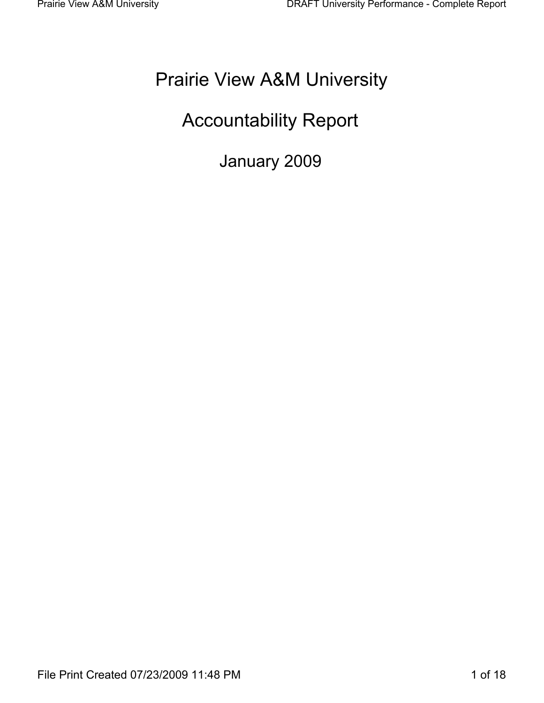# **Prairie View A&M University**

# **Accountability Report**

January 2009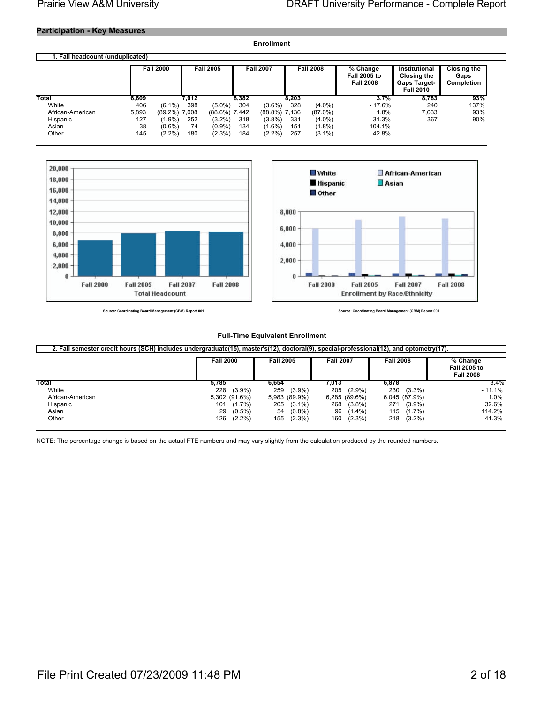## **Participation - Key Measures**

|                                  |       |                  |       |                  |       | <b>Enrollment</b> |       |                  |                                                     |                                                                                |                                                 |
|----------------------------------|-------|------------------|-------|------------------|-------|-------------------|-------|------------------|-----------------------------------------------------|--------------------------------------------------------------------------------|-------------------------------------------------|
| 1. Fall headcount (unduplicated) |       |                  |       |                  |       |                   |       |                  |                                                     |                                                                                |                                                 |
|                                  |       | <b>Fall 2000</b> |       | <b>Fall 2005</b> |       | <b>Fall 2007</b>  |       | <b>Fall 2008</b> | % Change<br><b>Fall 2005 to</b><br><b>Fall 2008</b> | Institutional<br><b>Closing the</b><br><b>Gaps Target-</b><br><b>Fall 2010</b> | <b>Closing the</b><br>Gaps<br><b>Completion</b> |
| Total                            | 6,609 |                  | 7.912 |                  | 8.382 |                   | 8.203 |                  | 3.7%                                                | 8.783                                                                          | 93%                                             |
| White                            | 406   | $(6.1\%)$        | 398   | $(5.0\%)$        | 304   | $(3.6\%)$         | 328   | $(4.0\%)$        | $-17.6%$                                            | 240                                                                            | 137%                                            |
| African-American                 | 5,893 | $(89.2\%)$ 7,008 |       | $(88.6\%)$ 7,442 |       | $(88.8\%)$ 7,136  |       | $(87.0\%)$       | 1.8%                                                | 7,633                                                                          | 93%                                             |
| Hispanic                         | 127   | (1.9%)           | 252   | $(3.2\%)$        | 318   | $(3.8\%)$         | 331   | $(4.0\%)$        | 31.3%                                               | 367                                                                            | 90%                                             |
| Asian                            | 38    | $(0.6\%)$        | 74    | $(0.9\%)$        | 134   | $(1.6\%)$         | 151   | $(1.8\%)$        | 104.1%                                              |                                                                                |                                                 |
| Other                            | 145   | $(2.2\%)$        | 180   | $(2.3\%)$        | 184   | $(2.2\%)$         | 257   | $(3.1\%)$        | 42.8%                                               |                                                                                |                                                 |





**Indinating Board Management (CBM) Report 001** Source: Co.

Source: Coordinating Board Management (CBM) Report 001

#### **Full-Time Equivalent Enrollment**

|                  | 2. Fall semester credit nours (SCH) includes undergraduate(15), master s(12), doctoral(9), special-professional(12), and optometry(17).<br><b>Fall 2000</b> | <b>Fall 2005</b> | <b>Fall 2007</b> | <b>Fall 2008</b> | % Change<br><b>Fall 2005 to</b><br><b>Fall 2008</b> |
|------------------|-------------------------------------------------------------------------------------------------------------------------------------------------------------|------------------|------------------|------------------|-----------------------------------------------------|
| Total            | 5.785                                                                                                                                                       | 6.654            | 7.013            | 6,878            | 3.4%                                                |
| White            | 228<br>$(3.9\%)$                                                                                                                                            | 259<br>$(3.9\%)$ | 205<br>$(2.9\%)$ | $(3.3\%)$<br>230 | $-11.1%$                                            |
| African-American | 5.302 (91.6%)                                                                                                                                               | 5,983 (89.9%)    | $6,285$ (89.6%)  | 6,045 (87.9%)    | 1.0%                                                |
| Hispanic         | 101<br>$(1.7\%)$                                                                                                                                            | 205<br>$(3.1\%)$ | 268<br>$(3.8\%)$ | 271<br>$(3.9\%)$ | 32.6%                                               |
| Asian            | 29<br>$(0.5\%)$                                                                                                                                             | $(0.8\%)$<br>54  | 96<br>$(1.4\%)$  | $(1.7\%)$<br>115 | 114.2%                                              |
| Other            | 126<br>$(2.2\%)$                                                                                                                                            | 155<br>$(2.3\%)$ | 160<br>$(2.3\%)$ | 218<br>$(3.2\%)$ | 41.3%                                               |

NOTE: The percentage change is based on the actual FTE numbers and may vary slightly from the calculation produced by the rounded numbers.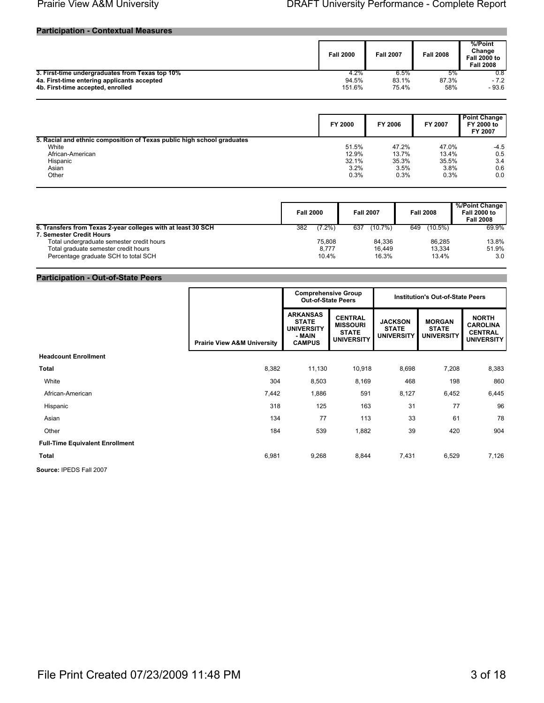#### **Participation - Contextual Measures**

|                                                 | <b>Fall 2000</b> | <b>Fall 2007</b> | <b>Fall 2008</b> | %/Point<br>Change<br><b>Fall 2000 to</b><br><b>Fall 2008</b> |
|-------------------------------------------------|------------------|------------------|------------------|--------------------------------------------------------------|
| 3. First-time undergraduates from Texas top 10% | 4.2%             | 6.5%             | 5%               | 0.8                                                          |
| 4a. First-time entering applicants accepted     | 94.5%            | 83.1%            | 87.3%            | $-7.2$                                                       |
| 4b. First-time accepted, enrolled               | 151.6%           | 75.4%            | 58%              | $-93.6$                                                      |

|                                                                        | FY 2000 | FY 2006 | FY 2007 | <b>Point Change</b><br>FY 2000 to<br>FY 2007 |
|------------------------------------------------------------------------|---------|---------|---------|----------------------------------------------|
| 5. Racial and ethnic composition of Texas public high school graduates |         |         |         |                                              |
| White                                                                  | 51.5%   | 47.2%   | 47.0%   | $-4.5$                                       |
| African-American                                                       | 12.9%   | 13.7%   | 13.4%   | 0.5                                          |
| Hispanic                                                               | 32.1%   | 35.3%   | 35.5%   | 3.4                                          |
| Asian                                                                  | 3.2%    | 3.5%    | 3.8%    | 0.6                                          |
| Other                                                                  | 0.3%    | 0.3%    | 0.3%    | 0.0                                          |

|                                                              | <b>Fall 2000</b> | <b>Fall 2007</b>  | <b>Fall 2008</b>  | %/Point Change<br><b>Fall 2000 to</b><br><b>Fall 2008</b> |
|--------------------------------------------------------------|------------------|-------------------|-------------------|-----------------------------------------------------------|
| 6. Transfers from Texas 2-year colleges with at least 30 SCH | $(7.2\%)$<br>382 | $(10.7\%)$<br>637 | $(10.5\%)$<br>649 | 69.9%                                                     |
| 7. Semester Credit Hours                                     |                  |                   |                   |                                                           |
| Total undergraduate semester credit hours                    | 75.808           | 84.336            | 86.285            | 13.8%                                                     |
| Total graduate semester credit hours                         | 8.777            | 16.449            | 13.334            | 51.9%                                                     |
| Percentage graduate SCH to total SCH                         | 10.4%            | 16.3%             | 13.4%             | 3.0                                                       |

## **Participation - Out-of-State Peers**

|                                        |                                        | <b>Comprehensive Group</b><br><b>Out-of-State Peers</b>                         |                                                                        | <b>Institution's Out-of-State Peers</b>             |                                                    |                                                                        |
|----------------------------------------|----------------------------------------|---------------------------------------------------------------------------------|------------------------------------------------------------------------|-----------------------------------------------------|----------------------------------------------------|------------------------------------------------------------------------|
|                                        | <b>Prairie View A&amp;M University</b> | <b>ARKANSAS</b><br><b>STATE</b><br><b>UNIVERSITY</b><br>- MAIN<br><b>CAMPUS</b> | <b>CENTRAL</b><br><b>MISSOURI</b><br><b>STATE</b><br><b>UNIVERSITY</b> | <b>JACKSON</b><br><b>STATE</b><br><b>UNIVERSITY</b> | <b>MORGAN</b><br><b>STATE</b><br><b>UNIVERSITY</b> | <b>NORTH</b><br><b>CAROLINA</b><br><b>CENTRAL</b><br><b>UNIVERSITY</b> |
| <b>Headcount Enrollment</b>            |                                        |                                                                                 |                                                                        |                                                     |                                                    |                                                                        |
| <b>Total</b>                           | 8,382                                  | 11,130                                                                          | 10,918                                                                 | 8,698                                               | 7,208                                              | 8,383                                                                  |
| White                                  | 304                                    | 8,503                                                                           | 8,169                                                                  | 468                                                 | 198                                                | 860                                                                    |
| African-American                       | 7,442                                  | 1,886                                                                           | 591                                                                    | 8,127                                               | 6,452                                              | 6,445                                                                  |
| Hispanic                               | 318                                    | 125                                                                             | 163                                                                    | 31                                                  | 77                                                 | 96                                                                     |
| Asian                                  | 134                                    | 77                                                                              | 113                                                                    | 33                                                  | 61                                                 | 78                                                                     |
| Other                                  | 184                                    | 539                                                                             | 1,882                                                                  | 39                                                  | 420                                                | 904                                                                    |
| <b>Full-Time Equivalent Enrollment</b> |                                        |                                                                                 |                                                                        |                                                     |                                                    |                                                                        |
| <b>Total</b>                           | 6,981                                  | 9,268                                                                           | 8,844                                                                  | 7,431                                               | 6,529                                              | 7,126                                                                  |
| <b>CAUSAN IDEDS EAL 2007</b>           |                                        |                                                                                 |                                                                        |                                                     |                                                    |                                                                        |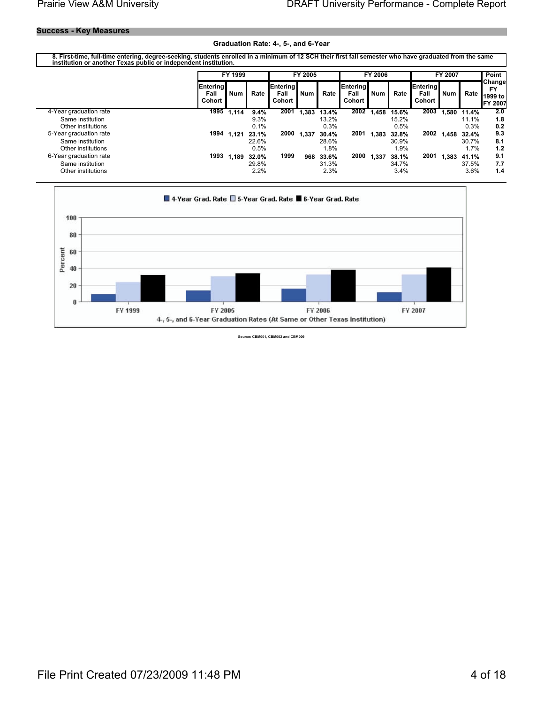#### **Success - Key Measures**

#### Graduation Rate: 4-, 5-, and 6-Year

8. First-time, full-time entering, degree-seeking, students enrolled in a minimum of 12 SCH their first fall semester who have graduated from the same<br>institution or another Texas public or independent institution.

|                        |                                   | FY 1999                 |       |                                   | FY 2005    |       |                                   | <b>FY 2006</b> |       |                                   | FY 2007    |       | Point                                             |
|------------------------|-----------------------------------|-------------------------|-------|-----------------------------------|------------|-------|-----------------------------------|----------------|-------|-----------------------------------|------------|-------|---------------------------------------------------|
|                        | <b>Entering</b><br>Fall<br>Cohort | <b>Num</b>              | Rate  | <b>Entering</b><br>Fall<br>Cohort | <b>Num</b> | Rate  | Entering<br>Fall<br><b>Cohort</b> | <b>Num</b>     | Rate  | <b>Entering</b><br>Fall<br>Cohort | <b>Num</b> | Rate  | <b>Changel</b><br><b>FY</b><br>1999 to<br>FY 2007 |
| 4-Year graduation rate |                                   | $\overline{1995}$ 1,114 | 9.4%  | 2001                              | 1.383      | 13.4% | 2002                              | 1.458          | 15.6% | 2003                              | 1.580      | 11.4% | 2.0                                               |
| Same institution       |                                   |                         | 9.3%  |                                   |            | 13.2% |                                   |                | 15.2% |                                   |            | 11.1% | 1.8                                               |
| Other institutions     |                                   |                         | 0.1%  |                                   |            | 0.3%  |                                   |                | 0.5%  |                                   |            | 0.3%  | 0.2                                               |
| 5-Year graduation rate | 1994                              | 1.121                   | 23.1% | 2000                              | 1.337      | 30.4% | 2001                              | 1.383          | 32.8% | 2002                              | 1.458      | 32.4% | 9.3                                               |
| Same institution       |                                   |                         | 22.6% |                                   |            | 28.6% |                                   |                | 30.9% |                                   |            | 30.7% | 8.1                                               |
| Other institutions     |                                   |                         | 0.5%  |                                   |            | 1.8%  |                                   |                | 1.9%  |                                   |            | 1.7%  | 1.2                                               |
| 6-Year graduation rate | 1993                              | 1.189                   | 32.0% | 1999                              | 968        | 33.6% | 2000                              | 1.337          | 38.1% | 2001                              | 1.383      | 41.1% | 9.1                                               |
| Same institution       |                                   |                         | 29.8% |                                   |            | 31.3% |                                   |                | 34.7% |                                   |            | 37.5% | 7.7                                               |
| Other institutions     |                                   |                         | 2.2%  |                                   |            | 2.3%  |                                   |                | 3.4%  |                                   |            | 3.6%  | 1.4                                               |



Source: CBM001, CBM002 and CBM009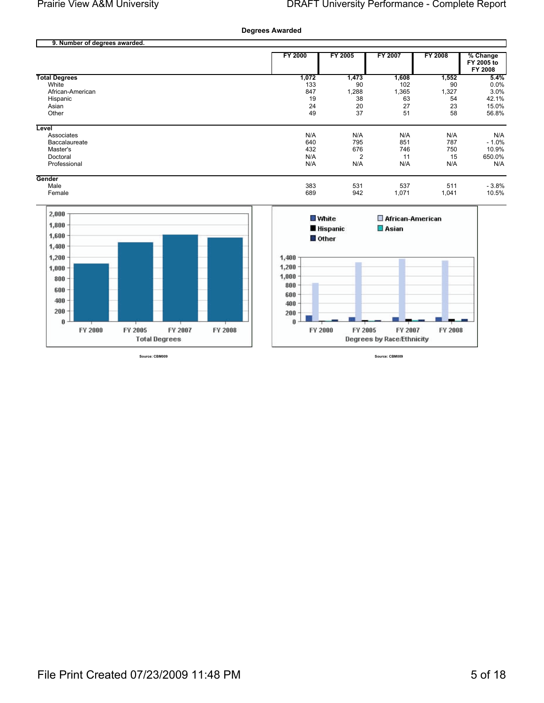**Degrees Awarded** 

|                      | FY 2000 | <b>FY 2005</b> | FY 2007 | <b>FY 2008</b> | % Change<br>FY 2005 to |
|----------------------|---------|----------------|---------|----------------|------------------------|
|                      |         |                |         |                | FY 2008                |
| <b>Total Degrees</b> | 1,072   | 1,473          | 1,608   | 1,552          | 5.4%                   |
| White                | 133     | 90             | 102     | 90             | 0.0%                   |
| African-American     | 847     | 1,288          | 1,365   | 1,327          | 3.0%                   |
| Hispanic             | 19      | 38             | 63      | 54             | 42.1%                  |
| Asian                | 24      | 20             | 27      | 23             | 15.0%                  |
| Other                | 49      | 37             | 51      | 58             | 56.8%                  |
| Level                |         |                |         |                |                        |
| Associates           | N/A     | N/A            | N/A     | N/A            | N/A                    |
| Baccalaureate        | 640     | 795            | 851     | 787            | $-1.0%$                |
| Master's             | 432     | 676            | 746     | 750            | 10.9%                  |
| Doctoral             | N/A     | $\overline{2}$ | 11      | 15             | 650.0%                 |
| Professional         | N/A     | N/A            | N/A     | N/A            | N/A                    |
| Gender               |         |                |         |                |                        |
| Male                 | 383     | 531            | 537     | 511            | $-3.8%$                |
| Female               | 689     | 942            | 1,071   | 1,041          | 10.5%                  |



Source: CBM009



Source: CBM009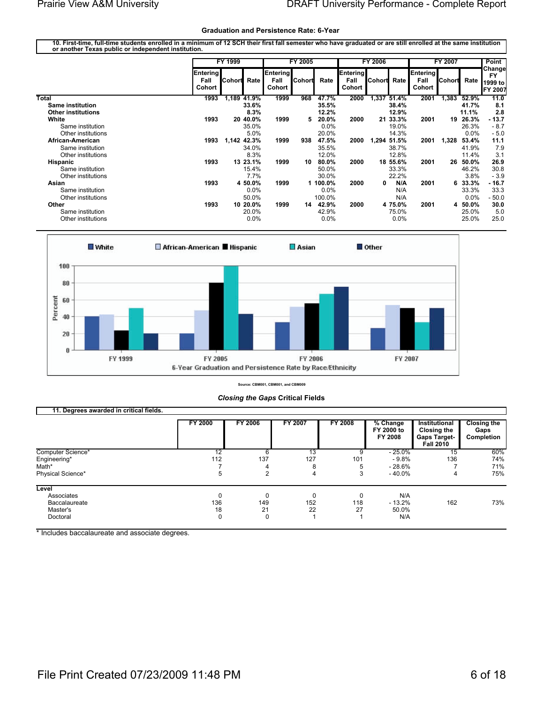#### **Graduation and Persistence Rate: 6-Year**

10. First-time, full-time students enrolled in a minimum of 12 SCH their first fall semester who have graduated or are still enrolled at the same institution<br>or another Texas public or independent institution.

|                           |                            | FY 1999     |             |                                   | FY 2005 |         |                            | FY 2006  |          |                            | FY 2007 |         | Point                                            |
|---------------------------|----------------------------|-------------|-------------|-----------------------------------|---------|---------|----------------------------|----------|----------|----------------------------|---------|---------|--------------------------------------------------|
|                           | Entering<br>Fall<br>Cohort | ICohorti    | Rate        | <b>Entering</b><br>Fall<br>Cohort | Cohort  | Rate    | Entering<br>Fall<br>Cohort | Cohort   | Rate     | Entering<br>Fall<br>Cohort | ∥Cohort | Rate    | Change<br><b>FY</b><br>1999 to<br><b>FY 2007</b> |
| Total                     | 1993                       |             | 1,189 41.9% | 1999                              | 968     | 47.7%   | 2000                       | 1,337    | 51.4%    | 2001                       | 1,383   | 52.9%   | 11.0                                             |
| <b>Same institution</b>   |                            |             | 33.6%       |                                   |         | 35.5%   |                            |          | 38.4%    |                            |         | 41.7%   | 8.1                                              |
| <b>Other institutions</b> |                            |             | 8.3%        |                                   |         | 12.2%   |                            |          | 12.9%    |                            |         | 11.1%   | 2.8                                              |
| White                     | 1993                       |             | 20 40.0%    | 1999                              | 5       | 20.0%   | 2000                       |          | 21 33.3% | 2001                       | 19      | 26.3%   | $-13.7$                                          |
| Same institution          |                            |             | 35.0%       |                                   |         | $0.0\%$ |                            |          | 19.0%    |                            |         | 26.3%   | $-8.7$                                           |
| Other institutions        |                            |             | 5.0%        |                                   |         | 20.0%   |                            |          | 14.3%    |                            |         | 0.0%    | $-5.0$                                           |
| African-American          | 1993                       | 1,142 42.3% |             | 1999                              | 938     | 47.5%   | 2000                       | 1,294    | 51.5%    | 2001                       | 1,328   | 53.4%   | 11.1                                             |
| Same institution          |                            |             | 34.0%       |                                   |         | 35.5%   |                            |          | 38.7%    |                            |         | 41.9%   | 7.9                                              |
| Other institutions        |                            |             | 8.3%        |                                   |         | 12.0%   |                            |          | 12.8%    |                            |         | 11.4%   | 3.1                                              |
| Hispanic                  | 1993                       |             | 13 23.1%    | 1999                              | 10      | 80.0%   | 2000                       |          | 18 55.6% | 2001                       | 26      | 50.0%   | 26.9                                             |
| Same institution          |                            |             | 15.4%       |                                   |         | 50.0%   |                            |          | 33.3%    |                            |         | 46.2%   | 30.8                                             |
| Other institutions        |                            |             | 7.7%        |                                   |         | 30.0%   |                            |          | 22.2%    |                            |         | $3.8\%$ | $-3.9$                                           |
| Asian                     | 1993                       |             | 4 50.0%     | 1999                              |         | 100.0%  | 2000                       | $\bf{0}$ | N/A      | 2001                       | 6       | 33.3%   | - 16.7                                           |
| Same institution          |                            |             | $0.0\%$     |                                   |         | $0.0\%$ |                            |          | N/A      |                            |         | 33.3%   | 33.3                                             |
| Other institutions        |                            |             | 50.0%       |                                   |         | 100.0%  |                            |          | N/A      |                            |         | $0.0\%$ | $-50.0$                                          |
| Other                     | 1993                       |             | 10 20.0%    | 1999                              | 14      | 42.9%   | 2000                       |          | 4 75.0%  | 2001                       | 4       | 50.0%   | 30.0                                             |
| Same institution          |                            |             | 20.0%       |                                   |         | 42.9%   |                            |          | 75.0%    |                            |         | 25.0%   | 5.0                                              |
| Other institutions        |                            |             | 0.0%        |                                   |         | $0.0\%$ |                            |          | 0.0%     |                            |         | 25.0%   | 25.0                                             |



Source: CBM001, CBM001, and CBM009

**Closing the Gaps Critical Fields** 

| TT. Degrees awarded in critical helds. |                 |                |         |         |                                     |                                                                                |                                          |
|----------------------------------------|-----------------|----------------|---------|---------|-------------------------------------|--------------------------------------------------------------------------------|------------------------------------------|
|                                        | FY 2000         | FY 2006        | FY 2007 | FY 2008 | $%$ Change<br>FY 2000 to<br>FY 2008 | Institutional<br><b>Closing the</b><br><b>Gaps Target-</b><br><b>Fall 2010</b> | <b>Closing the</b><br>Gaps<br>Completion |
| Computer Science*                      | $\overline{12}$ | 6              | 13      |         | $-25.0%$                            | 15                                                                             | 60%                                      |
| Engineering*                           | 112             | 137            | 127     | 101     | - 9.8%                              | 136                                                                            | 74%                                      |
| Math*                                  |                 | 4              | 8       |         | - 28.6%                             |                                                                                | 71%                                      |
| Physical Science*                      | 5               | $\overline{2}$ | 4       |         | $-40.0%$                            | 4                                                                              | 75%                                      |
| Level                                  |                 |                |         |         |                                     |                                                                                |                                          |
| Associates                             |                 | 0              | ი       |         | N/A                                 |                                                                                |                                          |
| Baccalaureate                          | 136             | 149            | 152     | 118     | $-13.2\%$                           | 162                                                                            | 73%                                      |
| Master's                               | 18              | 21             | 22      | 27      | 50.0%                               |                                                                                |                                          |
| Doctoral                               |                 | 0              |         |         | N/A                                 |                                                                                |                                          |
|                                        |                 |                |         |         |                                     |                                                                                |                                          |

\* Includes baccalaureate and associate degrees.

14 Degrees currented in existent fields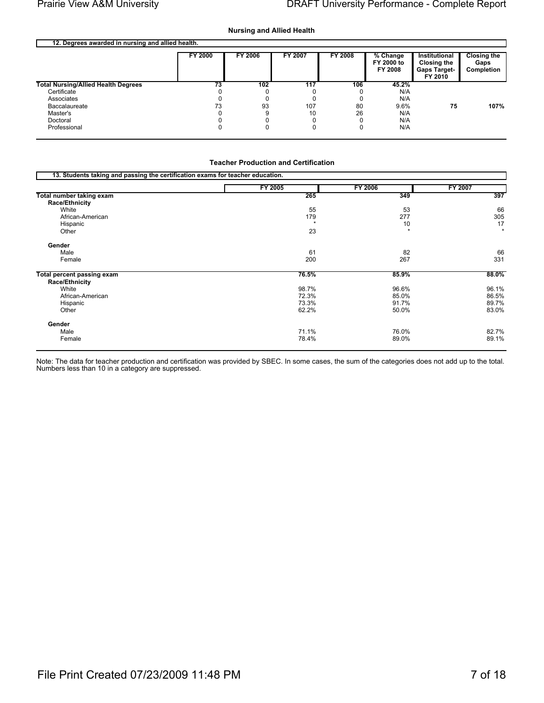#### **Nursing and Allied Health**

| 12. Degrees awarded in nursing and allied health. |                |         |         |         |                                   |                                                                       |                                          |
|---------------------------------------------------|----------------|---------|---------|---------|-----------------------------------|-----------------------------------------------------------------------|------------------------------------------|
|                                                   | <b>FY 2000</b> | FY 2006 | FY 2007 | FY 2008 | % Change<br>FY 2000 to<br>FY 2008 | Institutional<br><b>Closing the</b><br><b>Gaps Target-</b><br>FY 2010 | <b>Closing the</b><br>Gaps<br>Completion |
| <b>Total Nursing/Allied Health Degrees</b>        | 73             | 102     | 117     | 106     | 45.2%                             |                                                                       |                                          |
| Certificate                                       |                |         |         |         | N/A                               |                                                                       |                                          |
| Associates                                        |                |         |         |         | N/A                               |                                                                       |                                          |
| Baccalaureate                                     | 73             | 93      | 107     | 80      | 9.6%                              | 75                                                                    | 107%                                     |
| Master's                                          |                |         | 10      | 26      | N/A                               |                                                                       |                                          |
| Doctoral                                          |                |         |         |         | N/A                               |                                                                       |                                          |
| Professional                                      |                |         |         |         | N/A                               |                                                                       |                                          |
|                                                   |                |         |         |         |                                   |                                                                       |                                          |

#### **Teacher Production and Certification**

| 13. Students taking and passing the certification exams for teacher education. |         |                     |         |
|--------------------------------------------------------------------------------|---------|---------------------|---------|
|                                                                                | FY 2005 | FY 2006             | FY 2007 |
| Total number taking exam                                                       | 265     | 349                 | 397     |
| <b>Race/Ethnicity</b>                                                          |         |                     |         |
| White                                                                          | 55      | 53                  | 66      |
| African-American                                                               | 179     | 277                 | 305     |
| Hispanic                                                                       | $\star$ | 10                  | 17      |
| Other                                                                          | 23      | $\boldsymbol{\Phi}$ | $\star$ |
| Gender                                                                         |         |                     |         |
| Male                                                                           | 61      | 82                  | 66      |
| Female                                                                         | 200     | 267                 | 331     |
| <b>Total percent passing exam</b>                                              | 76.5%   | 85.9%               | 88.0%   |
| Race/Ethnicity                                                                 |         |                     |         |
| White                                                                          | 98.7%   | 96.6%               | 96.1%   |
| African-American                                                               | 72.3%   | 85.0%               | 86.5%   |
| Hispanic                                                                       | 73.3%   | 91.7%               | 89.7%   |
| Other                                                                          | 62.2%   | 50.0%               | 83.0%   |
| Gender                                                                         |         |                     |         |
| Male                                                                           | 71.1%   | 76.0%               | 82.7%   |
| Female                                                                         | 78.4%   | 89.0%               | 89.1%   |

Note: The data for teacher production and certification was provided by SBEC. In some cases, the sum of the categories does not add up to the total.<br>Numbers less than 10 in a category are suppressed.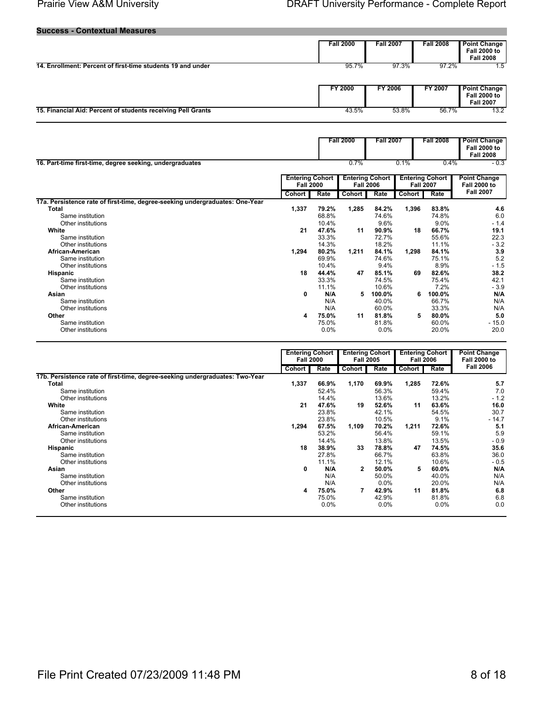#### **Success - Contextual Measures**

|                                                              | <b>Fall 2000</b> | <b>Fall 2007</b> | <b>Fall 2008</b> | <b>Point Change</b><br><b>Fall 2000 to</b><br><b>Fall 2008</b> |
|--------------------------------------------------------------|------------------|------------------|------------------|----------------------------------------------------------------|
| 14. Enrollment: Percent of first-time students 19 and under  | 95.7%            | 97.3%            | 97.2%            | 1.5                                                            |
|                                                              | <b>FY 2000</b>   | <b>FY 2006</b>   | FY 2007          | <b>Point Change</b><br><b>Fall 2000 to</b><br><b>Fall 2007</b> |
| 15. Financial Aid: Percent of students receiving Pell Grants | 43.5%            | 53.8%            | 56.7%            | 13.2                                                           |

| 16. Part-time first-time, degree seeking, undergraduates                     |                                            |       | <b>Fall 2000</b><br>0.7%                   | <b>Fall 2007</b> | 0.1%                                       | <b>Fall 2008</b><br>0.4% | <b>Point Change</b><br><b>Fall 2000 to</b><br><b>Fall 2008</b><br>$-0.3$ |
|------------------------------------------------------------------------------|--------------------------------------------|-------|--------------------------------------------|------------------|--------------------------------------------|--------------------------|--------------------------------------------------------------------------|
|                                                                              | <b>Entering Cohort</b><br><b>Fall 2000</b> |       | <b>Entering Cohort</b><br><b>Fall 2006</b> |                  | <b>Entering Cohort</b><br><b>Fall 2007</b> |                          | <b>Point Change</b><br><b>Fall 2000 to</b>                               |
|                                                                              | Cohort                                     | Rate  | Cohort                                     | Rate             | <b>Cohort</b>                              | Rate                     | <b>Fall 2007</b>                                                         |
| 17a. Persistence rate of first-time, degree-seeking undergraduates: One-Year |                                            |       |                                            |                  |                                            |                          |                                                                          |
| Total                                                                        | 1,337                                      | 79.2% | 1,285                                      | 84.2%            | 1,396                                      | 83.8%                    | 4.6                                                                      |
| Same institution                                                             |                                            | 68.8% |                                            | 74.6%            |                                            | 74.8%                    | 6.0                                                                      |
| Other institutions                                                           |                                            | 10.4% |                                            | 9.6%             |                                            | 9.0%                     | $-1.4$                                                                   |
| White                                                                        | 21                                         | 47.6% | 11                                         | 90.9%            | 18                                         | 66.7%                    | 19.1                                                                     |
| Same institution                                                             |                                            | 33.3% |                                            | 72.7%            |                                            | 55.6%                    | 22.3                                                                     |
| Other institutions                                                           |                                            | 14.3% |                                            | 18.2%            |                                            | 11.1%                    | $-3.2$                                                                   |
| African-American                                                             | 1,294                                      | 80.2% | 1,211                                      | 84.1%            | 1,298                                      | 84.1%                    | 3.9                                                                      |
| Same institution                                                             |                                            | 69.9% |                                            | 74.6%            |                                            | 75.1%                    | 5.2                                                                      |
| Other institutions                                                           |                                            | 10.4% |                                            | 9.4%             |                                            | 8.9%                     | $-1.5$                                                                   |
| Hispanic                                                                     | 18                                         | 44.4% | 47                                         | 85.1%            | 69                                         | 82.6%                    | 38.2                                                                     |
| Same institution                                                             |                                            | 33.3% |                                            | 74.5%            |                                            | 75.4%                    | 42.1                                                                     |
| Other institutions                                                           |                                            | 11.1% |                                            | 10.6%            |                                            | 7.2%                     | $-3.9$                                                                   |
| Asian                                                                        | 0                                          | N/A   | 5                                          | 100.0%           | 6                                          | 100.0%                   | N/A                                                                      |
| Same institution                                                             |                                            | N/A   |                                            | 40.0%            |                                            | 66.7%                    | N/A                                                                      |
| Other institutions                                                           |                                            | N/A   |                                            | 60.0%            |                                            | 33.3%                    | N/A                                                                      |
| Other                                                                        | 4                                          | 75.0% | 11                                         | 81.8%            | 5                                          | 80.0%                    | 5.0                                                                      |
| Same institution                                                             |                                            | 75.0% |                                            | 81.8%            |                                            | 60.0%                    | $-15.0$                                                                  |
| Other institutions                                                           |                                            | 0.0%  |                                            | 0.0%             |                                            | 20.0%                    | 20.0                                                                     |

| Cohort                                                                       |    |         |        | <b>Entering Cohort</b><br><b>Fall 2005</b> |        | <b>Fall 2006</b> | <b>Fall 2000 to</b> |
|------------------------------------------------------------------------------|----|---------|--------|--------------------------------------------|--------|------------------|---------------------|
|                                                                              |    | Rate    | Cohort | Rate                                       | Cohort | Rate             | <b>Fall 2006</b>    |
| 17b. Persistence rate of first-time, degree-seeking undergraduates: Two-Year |    |         |        |                                            |        |                  |                     |
| 1,337<br>Total                                                               |    | 66.9%   | 1,170  | 69.9%                                      | 1,285  | 72.6%            | 5.7                 |
| Same institution                                                             |    | 52.4%   |        | 56.3%                                      |        | 59.4%            | 7.0                 |
| Other institutions                                                           |    | 14.4%   |        | 13.6%                                      |        | 13.2%            | $-1.2$              |
| White                                                                        | 21 | 47.6%   | 19     | 52.6%                                      | 11     | 63.6%            | 16.0                |
| Same institution                                                             |    | 23.8%   |        | 42.1%                                      |        | 54.5%            | 30.7                |
| Other institutions                                                           |    | 23.8%   |        | 10.5%                                      |        | 9.1%             | $-14.7$             |
| African-American<br>1,294                                                    |    | 67.5%   | 1,109  | 70.2%                                      | 1,211  | 72.6%            | 5.1                 |
| Same institution                                                             |    | 53.2%   |        | 56.4%                                      |        | 59.1%            | 5.9                 |
| Other institutions                                                           |    | 14.4%   |        | 13.8%                                      |        | 13.5%            | $-0.9$              |
| Hispanic                                                                     | 18 | 38.9%   | 33     | 78.8%                                      | 47     | 74.5%            | 35.6                |
| Same institution                                                             |    | 27.8%   |        | 66.7%                                      |        | 63.8%            | 36.0                |
| Other institutions                                                           |    | 11.1%   |        | 12.1%                                      |        | 10.6%            | $-0.5$              |
| Asian                                                                        | 0  | N/A     | 2      | 50.0%                                      | 5      | 60.0%            | N/A                 |
| Same institution                                                             |    | N/A     |        | 50.0%                                      |        | 40.0%            | N/A                 |
| Other institutions                                                           |    | N/A     |        | $0.0\%$                                    |        | 20.0%            | N/A                 |
| Other                                                                        | 4  | 75.0%   |        | 42.9%                                      | 11     | 81.8%            | 6.8                 |
| Same institution                                                             |    | 75.0%   |        | 42.9%                                      |        | 81.8%            | 6.8                 |
| Other institutions                                                           |    | $0.0\%$ |        | $0.0\%$                                    |        | $0.0\%$          | 0.0                 |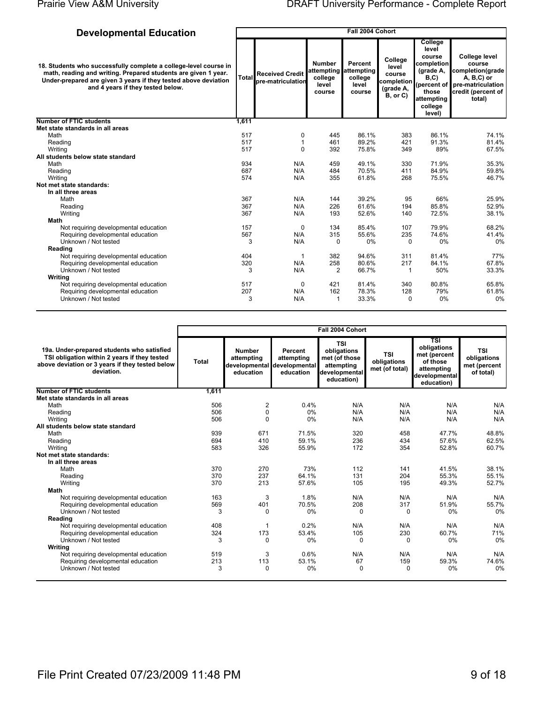Fall 2004 Cohort

# **Developmental Education**

| 18. Students who successfully complete a college-level course in<br>math, reading and writing. Prepared students are given 1 year.<br>Under-prepared are given 3 years if they tested above deviation<br>and 4 years if they tested below. | Total | <b>Received Credit</b><br>pre-matriculation | <b>Number</b><br>college<br>level<br>course | Percent<br>attempting attempting<br>college<br>level<br>course | College<br>level<br>course<br> completion <br>(grade A,<br>B, or C) | College<br>level<br>course<br>completion<br>(grade A,<br>B, C)<br>(percent of<br>those<br>attempting<br>college<br>level) | College level<br>course<br>completion(grade<br>$A, B, C$ ) or<br>pre-matriculation<br>credit (percent of<br>total) |
|--------------------------------------------------------------------------------------------------------------------------------------------------------------------------------------------------------------------------------------------|-------|---------------------------------------------|---------------------------------------------|----------------------------------------------------------------|---------------------------------------------------------------------|---------------------------------------------------------------------------------------------------------------------------|--------------------------------------------------------------------------------------------------------------------|
| <b>Number of FTIC students</b>                                                                                                                                                                                                             | 1,611 |                                             |                                             |                                                                |                                                                     |                                                                                                                           |                                                                                                                    |
| Met state standards in all areas                                                                                                                                                                                                           |       |                                             |                                             |                                                                |                                                                     |                                                                                                                           |                                                                                                                    |
| Math                                                                                                                                                                                                                                       | 517   | 0                                           | 445                                         | 86.1%                                                          | 383                                                                 | 86.1%                                                                                                                     | 74.1%                                                                                                              |
| Reading                                                                                                                                                                                                                                    | 517   | 1                                           | 461                                         | 89.2%                                                          | 421                                                                 | 91.3%                                                                                                                     | 81.4%                                                                                                              |
| Writing                                                                                                                                                                                                                                    | 517   | 0                                           | 392                                         | 75.8%                                                          | 349                                                                 | 89%                                                                                                                       | 67.5%                                                                                                              |
| All students below state standard                                                                                                                                                                                                          |       |                                             |                                             |                                                                |                                                                     |                                                                                                                           |                                                                                                                    |
| Math                                                                                                                                                                                                                                       | 934   | N/A                                         | 459                                         | 49.1%                                                          | 330                                                                 | 71.9%                                                                                                                     | 35.3%                                                                                                              |
| Reading                                                                                                                                                                                                                                    | 687   | N/A                                         | 484                                         | 70.5%                                                          | 411                                                                 | 84.9%                                                                                                                     | 59.8%                                                                                                              |
| Writing                                                                                                                                                                                                                                    | 574   | N/A                                         | 355                                         | 61.8%                                                          | 268                                                                 | 75.5%                                                                                                                     | 46.7%                                                                                                              |
| Not met state standards:                                                                                                                                                                                                                   |       |                                             |                                             |                                                                |                                                                     |                                                                                                                           |                                                                                                                    |
| In all three areas                                                                                                                                                                                                                         |       |                                             |                                             |                                                                |                                                                     |                                                                                                                           |                                                                                                                    |
| Math                                                                                                                                                                                                                                       | 367   | N/A                                         | 144                                         | 39.2%                                                          | 95                                                                  | 66%                                                                                                                       | 25.9%                                                                                                              |
| Reading                                                                                                                                                                                                                                    | 367   | N/A                                         | 226                                         | 61.6%                                                          | 194                                                                 | 85.8%                                                                                                                     | 52.9%                                                                                                              |
| Writing                                                                                                                                                                                                                                    | 367   | N/A                                         | 193                                         | 52.6%                                                          | 140                                                                 | 72.5%                                                                                                                     | 38.1%                                                                                                              |
| Math                                                                                                                                                                                                                                       |       |                                             |                                             |                                                                |                                                                     |                                                                                                                           |                                                                                                                    |
| Not requiring developmental education                                                                                                                                                                                                      | 157   | $\mathbf 0$                                 | 134                                         | 85.4%                                                          | 107                                                                 | 79.9%                                                                                                                     | 68.2%                                                                                                              |
| Requiring developmental education                                                                                                                                                                                                          | 567   | N/A                                         | 315                                         | 55.6%                                                          | 235                                                                 | 74.6%                                                                                                                     | 41.4%                                                                                                              |
| Unknown / Not tested                                                                                                                                                                                                                       | 3     | N/A                                         | 0                                           | 0%                                                             | 0                                                                   | $0\%$                                                                                                                     | 0%                                                                                                                 |
| Reading                                                                                                                                                                                                                                    |       |                                             |                                             |                                                                |                                                                     |                                                                                                                           |                                                                                                                    |
| Not requiring developmental education                                                                                                                                                                                                      | 404   | 1                                           | 382                                         | 94.6%                                                          | 311                                                                 | 81.4%                                                                                                                     | 77%                                                                                                                |
| Requiring developmental education                                                                                                                                                                                                          | 320   | N/A                                         | 258                                         | 80.6%                                                          | 217                                                                 | 84.1%                                                                                                                     | 67.8%                                                                                                              |
| Unknown / Not tested                                                                                                                                                                                                                       | 3     | N/A                                         | 2                                           | 66.7%                                                          | 1                                                                   | 50%                                                                                                                       | 33.3%                                                                                                              |
| Writina                                                                                                                                                                                                                                    |       |                                             |                                             |                                                                |                                                                     |                                                                                                                           |                                                                                                                    |
| Not requiring developmental education                                                                                                                                                                                                      | 517   | 0                                           | 421                                         | 81.4%                                                          | 340                                                                 | 80.8%                                                                                                                     | 65.8%                                                                                                              |
| Requiring developmental education                                                                                                                                                                                                          | 207   | N/A                                         | 162                                         | 78.3%                                                          | 128                                                                 | 79%                                                                                                                       | 61.8%                                                                                                              |
| Unknown / Not tested                                                                                                                                                                                                                       | 3     | N/A                                         | $\mathbf{1}$                                | 33.3%                                                          | $\Omega$                                                            | 0%                                                                                                                        | 0%                                                                                                                 |
|                                                                                                                                                                                                                                            |       |                                             |                                             |                                                                |                                                                     |                                                                                                                           |                                                                                                                    |

|                                                                                                                                                             | Fall 2004 Cohort |                                                                             |                                    |                                                                                         |                                             |                                                                                             |                                                        |  |  |
|-------------------------------------------------------------------------------------------------------------------------------------------------------------|------------------|-----------------------------------------------------------------------------|------------------------------------|-----------------------------------------------------------------------------------------|---------------------------------------------|---------------------------------------------------------------------------------------------|--------------------------------------------------------|--|--|
| 19a. Under-prepared students who satisfied<br>TSI obligation within 2 years if they tested<br>above deviation or 3 years if they tested below<br>deviation. | <b>Total</b>     | <b>Number</b><br>attempting<br>ldevelopmental ldevelopmental i<br>education | Percent<br>attempting<br>education | <b>TSI</b><br>obligations<br>met (of those<br>attempting<br>developmental<br>education) | <b>TSI</b><br>obligations<br>met (of total) | TSI<br>obligations<br>met (percent<br>of those<br>attempting<br>developmental<br>education) | <b>TSI</b><br>obligations<br>met (percent<br>of total) |  |  |
| Number of FTIC students                                                                                                                                     | 1,611            |                                                                             |                                    |                                                                                         |                                             |                                                                                             |                                                        |  |  |
| Met state standards in all areas                                                                                                                            |                  |                                                                             |                                    |                                                                                         |                                             |                                                                                             |                                                        |  |  |
| Math                                                                                                                                                        | 506              | $\overline{2}$                                                              | 0.4%                               | N/A                                                                                     | N/A                                         | N/A                                                                                         | N/A                                                    |  |  |
| Reading                                                                                                                                                     | 506              | 0                                                                           | 0%                                 | N/A                                                                                     | N/A                                         | N/A                                                                                         | N/A                                                    |  |  |
| Writina                                                                                                                                                     | 506              | $\Omega$                                                                    | 0%                                 | N/A                                                                                     | N/A                                         | N/A                                                                                         | N/A                                                    |  |  |
| All students below state standard                                                                                                                           |                  |                                                                             |                                    |                                                                                         |                                             |                                                                                             |                                                        |  |  |
| Math                                                                                                                                                        | 939              | 671                                                                         | 71.5%                              | 320                                                                                     | 458                                         | 47.7%                                                                                       | 48.8%                                                  |  |  |
| Reading                                                                                                                                                     | 694              | 410                                                                         | 59.1%                              | 236                                                                                     | 434                                         | 57.6%                                                                                       | 62.5%                                                  |  |  |
| Writing                                                                                                                                                     | 583              | 326                                                                         | 55.9%                              | 172                                                                                     | 354                                         | 52.8%                                                                                       | 60.7%                                                  |  |  |
| Not met state standards:                                                                                                                                    |                  |                                                                             |                                    |                                                                                         |                                             |                                                                                             |                                                        |  |  |
| In all three areas                                                                                                                                          |                  |                                                                             |                                    |                                                                                         |                                             |                                                                                             |                                                        |  |  |
| Math                                                                                                                                                        | 370              | 270                                                                         | 73%                                | 112                                                                                     | 141                                         | 41.5%                                                                                       | 38.1%                                                  |  |  |
| Reading                                                                                                                                                     | 370              | 237                                                                         | 64.1%                              | 131                                                                                     | 204                                         | 55.3%                                                                                       | 55.1%                                                  |  |  |
| Writing                                                                                                                                                     | 370              | 213                                                                         | 57.6%                              | 105                                                                                     | 195                                         | 49.3%                                                                                       | 52.7%                                                  |  |  |
| Math                                                                                                                                                        |                  |                                                                             |                                    |                                                                                         |                                             |                                                                                             |                                                        |  |  |
| Not requiring developmental education                                                                                                                       | 163              | 3                                                                           | 1.8%                               | N/A                                                                                     | N/A                                         | N/A                                                                                         | N/A                                                    |  |  |
| Requiring developmental education                                                                                                                           | 569              | 401                                                                         | 70.5%                              | 208                                                                                     | 317                                         | 51.9%                                                                                       | 55.7%                                                  |  |  |
| Unknown / Not tested                                                                                                                                        | 3                | $\Omega$                                                                    | 0%                                 | $\Omega$                                                                                | $\Omega$                                    | 0%                                                                                          | 0%                                                     |  |  |
| Reading                                                                                                                                                     |                  |                                                                             |                                    |                                                                                         |                                             |                                                                                             |                                                        |  |  |
| Not requiring developmental education                                                                                                                       | 408              | 1                                                                           | 0.2%                               | N/A                                                                                     | N/A                                         | N/A                                                                                         | N/A                                                    |  |  |
| Requiring developmental education                                                                                                                           | 324              | 173                                                                         | 53.4%                              | 105                                                                                     | 230                                         | 60.7%                                                                                       | 71%                                                    |  |  |
| Unknown / Not tested                                                                                                                                        | 3                | 0                                                                           | 0%                                 | 0                                                                                       | 0                                           | $0\%$                                                                                       | 0%                                                     |  |  |
| Writing                                                                                                                                                     |                  |                                                                             |                                    |                                                                                         |                                             |                                                                                             |                                                        |  |  |
| Not requiring developmental education                                                                                                                       | 519              | 3                                                                           | 0.6%                               | N/A                                                                                     | N/A                                         | N/A                                                                                         | N/A                                                    |  |  |
| Requiring developmental education                                                                                                                           | 213              | 113                                                                         | 53.1%                              | 67                                                                                      | 159                                         | 59.3%                                                                                       | 74.6%                                                  |  |  |
| Unknown / Not tested                                                                                                                                        | 3                | $\Omega$                                                                    | 0%                                 | $\Omega$                                                                                | $\Omega$                                    | 0%                                                                                          | 0%                                                     |  |  |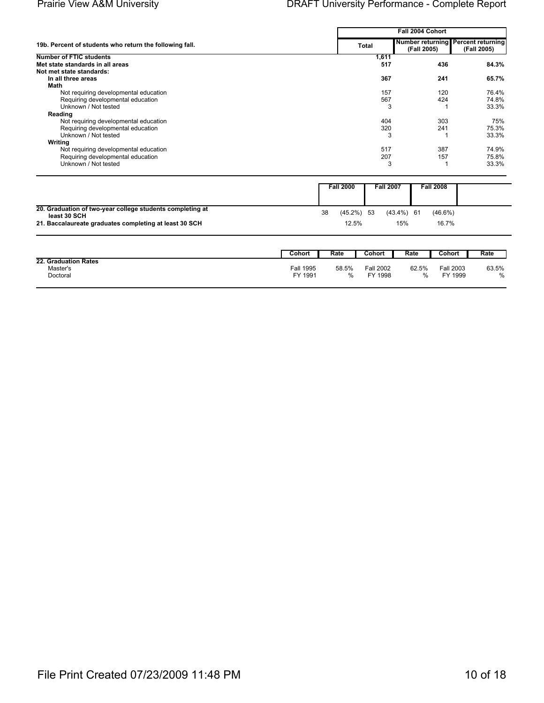|                                                         |              | Fall 2004 Cohort                                  |             |  |  |  |  |  |
|---------------------------------------------------------|--------------|---------------------------------------------------|-------------|--|--|--|--|--|
| 19b. Percent of students who return the following fall. | <b>Total</b> | Number returning Percent returning<br>(Fall 2005) | (Fall 2005) |  |  |  |  |  |
| <b>Number of FTIC students</b>                          | 1,611        |                                                   |             |  |  |  |  |  |
| Met state standards in all areas                        | 517          | 436                                               | 84.3%       |  |  |  |  |  |
| Not met state standards:                                |              |                                                   |             |  |  |  |  |  |
| In all three areas                                      | 367          | 241                                               | 65.7%       |  |  |  |  |  |
| Math                                                    |              |                                                   |             |  |  |  |  |  |
| Not requiring developmental education                   | 157          | 120                                               | 76.4%       |  |  |  |  |  |
| Requiring developmental education                       | 567          | 424                                               | 74.8%       |  |  |  |  |  |
| Unknown / Not tested                                    | 3            |                                                   | 33.3%       |  |  |  |  |  |
| Reading                                                 |              |                                                   |             |  |  |  |  |  |
| Not requiring developmental education                   | 404          | 303                                               | 75%         |  |  |  |  |  |
| Requiring developmental education                       | 320          | 241                                               | 75.3%       |  |  |  |  |  |
| Unknown / Not tested                                    | 3            |                                                   | 33.3%       |  |  |  |  |  |
| Writing                                                 |              |                                                   |             |  |  |  |  |  |
| Not requiring developmental education                   | 517          | 387                                               | 74.9%       |  |  |  |  |  |
| Requiring developmental education                       | 207          | 157                                               | 75.8%       |  |  |  |  |  |
| Unknown / Not tested                                    | 3            |                                                   | 33.3%       |  |  |  |  |  |

|                                                           |    | <b>Fall 2000</b> |  | <b>Fall 2007</b> | <b>Fall 2008</b> |  |
|-----------------------------------------------------------|----|------------------|--|------------------|------------------|--|
|                                                           |    |                  |  |                  |                  |  |
|                                                           |    |                  |  |                  |                  |  |
| 20. Graduation of two-year college students completing at | 38 | (45.2%) 53       |  | (43.4%) 61       | $(46.6\%)$       |  |
| least 30 SCH                                              |    |                  |  |                  |                  |  |
| 21. Baccalaureate graduates completing at least 30 SCH    |    | 12.5%            |  | 15%              | 16.7%            |  |
|                                                           |    |                  |  |                  |                  |  |

|                                              | Cohon                | Rate       | <b>Cohort</b> ∶             | Rate         | Cohort                      | Rate                   |
|----------------------------------------------|----------------------|------------|-----------------------------|--------------|-----------------------------|------------------------|
| 22. Graduation Rates<br>Master's<br>Doctoral | Fall 1995<br>FY 1991 | 58.5%<br>% | <b>Fall 2002</b><br>FY 1998 | 62.5%<br>0/2 | <b>Fall 2003</b><br>FY 1999 | 63.5%<br>$\frac{0}{0}$ |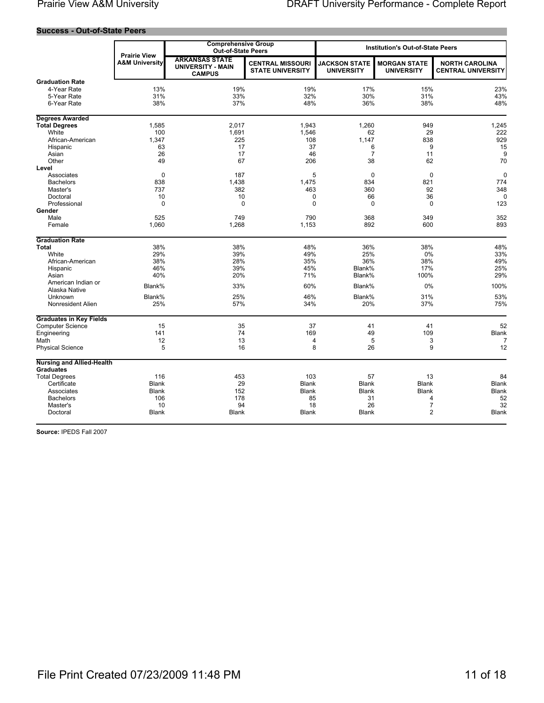#### **Success - Out-of-State Peers**

|                                  | <b>Prairie View</b>       | <b>Comprehensive Group</b><br><b>Out-of-State Peers</b>            |                                                    | <b>Institution's Out-of-State Peers</b>   |                                          |                                                    |
|----------------------------------|---------------------------|--------------------------------------------------------------------|----------------------------------------------------|-------------------------------------------|------------------------------------------|----------------------------------------------------|
|                                  | <b>A&amp;M University</b> | <b>ARKANSAS STATE</b><br><b>UNIVERSITY - MAIN</b><br><b>CAMPUS</b> | <b>CENTRAL MISSOURI</b><br><b>STATE UNIVERSITY</b> | <b>JACKSON STATE</b><br><b>UNIVERSITY</b> | <b>MORGAN STATE</b><br><b>UNIVERSITY</b> | <b>NORTH CAROLINA</b><br><b>CENTRAL UNIVERSITY</b> |
| <b>Graduation Rate</b>           |                           |                                                                    |                                                    |                                           |                                          |                                                    |
| 4-Year Rate                      | 13%                       | 19%                                                                | 19%                                                | 17%                                       | 15%                                      | 23%                                                |
| 5-Year Rate                      | 31%                       | 33%                                                                | 32%                                                | 30%                                       | 31%                                      | 43%                                                |
| 6-Year Rate                      | 38%                       | 37%                                                                | 48%                                                | 36%                                       | 38%                                      | 48%                                                |
| <b>Degrees Awarded</b>           |                           |                                                                    |                                                    |                                           |                                          |                                                    |
| <b>Total Degrees</b>             | 1,585                     | 2.017                                                              | 1.943                                              | 1,260                                     | 949                                      | 1,245                                              |
| White                            | 100                       | 1,691                                                              | 1,546                                              | 62                                        | 29                                       | 222                                                |
| African-American                 | 1,347                     | 225                                                                | 108                                                | 1,147                                     | 838                                      | 929                                                |
| Hispanic                         | 63                        | 17                                                                 | 37                                                 | 6                                         | 9                                        | 15                                                 |
| Asian                            | 26                        | 17                                                                 | 46                                                 | $\overline{7}$                            | 11                                       | 9                                                  |
| Other                            | 49                        | 67                                                                 | 206                                                | 38                                        | 62                                       | 70                                                 |
| Level                            |                           |                                                                    |                                                    |                                           |                                          |                                                    |
| Associates                       | $\mathbf 0$               | 187                                                                | 5                                                  | 0                                         | $\mathbf 0$                              | $\mathbf 0$                                        |
| <b>Bachelors</b>                 | 838                       | 1,438                                                              | 1,475                                              | 834                                       | 821                                      | 774                                                |
| Master's                         | 737                       | 382                                                                | 463                                                | 360                                       | 92                                       | 348                                                |
| Doctoral                         | 10                        | 10                                                                 | 0                                                  | 66                                        | 36                                       | $\Omega$                                           |
| Professional                     | $\Omega$                  | $\Omega$                                                           | $\Omega$                                           | $\Omega$                                  | $\Omega$                                 | 123                                                |
| Gender                           |                           |                                                                    |                                                    |                                           |                                          |                                                    |
| Male                             | 525                       | 749                                                                | 790                                                | 368                                       | 349                                      | 352                                                |
| Female                           | 1,060                     | 1,268                                                              | 1,153                                              | 892                                       | 600                                      | 893                                                |
| <b>Graduation Rate</b>           |                           |                                                                    |                                                    |                                           |                                          |                                                    |
| <b>Total</b>                     | 38%                       | 38%                                                                | 48%                                                | 36%                                       | 38%                                      | 48%                                                |
| White                            | 29%                       | 39%                                                                | 49%                                                | 25%                                       | 0%                                       | 33%                                                |
| African-American                 | 38%                       | 28%                                                                | 35%                                                | 36%                                       | 38%                                      | 49%                                                |
| Hispanic                         | 46%                       | 39%                                                                | 45%                                                | Blank%                                    | 17%                                      | 25%                                                |
| Asian                            | 40%                       | 20%                                                                | 71%                                                | Blank%                                    | 100%                                     | 29%                                                |
| American Indian or               | Blank%                    | 33%                                                                | 60%                                                | Blank%                                    | 0%                                       | 100%                                               |
| Alaska Native                    |                           |                                                                    |                                                    |                                           |                                          |                                                    |
| Unknown                          | Blank%                    | 25%                                                                | 46%                                                | Blank%                                    | 31%                                      | 53%                                                |
| Nonresident Alien                | 25%                       | 57%                                                                | 34%                                                | 20%                                       | 37%                                      | 75%                                                |
| <b>Graduates in Key Fields</b>   |                           |                                                                    |                                                    |                                           |                                          |                                                    |
| <b>Computer Science</b>          | 15                        | 35                                                                 | 37                                                 | 41                                        | 41                                       | 52                                                 |
| Engineering                      | 141                       | 74                                                                 | 169                                                | 49                                        | 109                                      | Blank                                              |
| Math                             | 12                        | 13                                                                 | 4                                                  | 5                                         | 3                                        | 7                                                  |
| <b>Physical Science</b>          | 5                         | 16                                                                 | 8                                                  | 26                                        | 9                                        | 12                                                 |
| <b>Nursing and Allied-Health</b> |                           |                                                                    |                                                    |                                           |                                          |                                                    |
| <b>Graduates</b>                 |                           |                                                                    |                                                    |                                           |                                          |                                                    |
| <b>Total Degrees</b>             | 116                       | 453<br>29                                                          | 103                                                | 57                                        | 13<br><b>Blank</b>                       | 84                                                 |
| Certificate                      | <b>Blank</b>              | 152                                                                | <b>Blank</b>                                       | <b>Blank</b>                              |                                          | <b>Blank</b>                                       |
| Associates                       | Blank<br>106              |                                                                    | Blank<br>85                                        | <b>Blank</b>                              | <b>Blank</b>                             | Blank                                              |
| <b>Bachelors</b><br>Master's     | 10                        | 178<br>94                                                          | 18                                                 | 31<br>26                                  | 4<br>$\overline{7}$                      | 52<br>32                                           |
| Doctoral                         | <b>Blank</b>              | <b>Blank</b>                                                       | <b>Blank</b>                                       | <b>Blank</b>                              | 2                                        | <b>Blank</b>                                       |
|                                  |                           |                                                                    |                                                    |                                           |                                          |                                                    |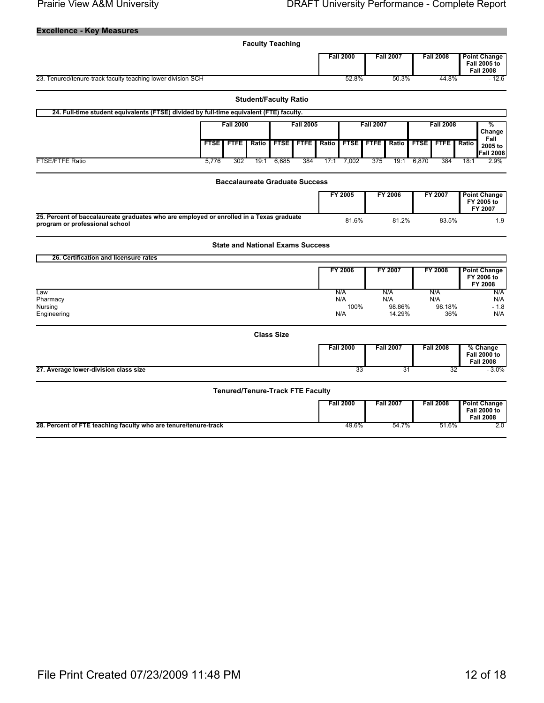#### **Prairie View A&M University**

| <b>Excellence - Key Measures</b>                                                                                          |                                                                   |                  |                                              |                                         |                  |       |                            |                                    |                  |                  |                                                                |
|---------------------------------------------------------------------------------------------------------------------------|-------------------------------------------------------------------|------------------|----------------------------------------------|-----------------------------------------|------------------|-------|----------------------------|------------------------------------|------------------|------------------|----------------------------------------------------------------|
|                                                                                                                           |                                                                   |                  |                                              | <b>Faculty Teaching</b>                 |                  |       |                            |                                    |                  |                  |                                                                |
|                                                                                                                           |                                                                   |                  |                                              |                                         |                  |       | <b>Fall 2000</b>           |                                    | <b>Fall 2007</b> | <b>Fall 2008</b> | <b>Point Change</b><br><b>Fall 2005 to</b><br><b>Fall 2008</b> |
| 23. Tenured/tenure-track faculty teaching lower division SCH                                                              |                                                                   |                  |                                              |                                         |                  |       | 52.8%                      |                                    | 50.3%            | 44.8%            | $-12.6$                                                        |
|                                                                                                                           |                                                                   |                  |                                              | <b>Student/Faculty Ratio</b>            |                  |       |                            |                                    |                  |                  |                                                                |
| 24. Full-time student equivalents (FTSE) divided by full-time equivalent (FTE) faculty.                                   |                                                                   |                  |                                              |                                         |                  |       |                            |                                    |                  |                  |                                                                |
|                                                                                                                           |                                                                   | <b>Fall 2000</b> |                                              |                                         | <b>Fall 2005</b> |       |                            | <b>Fall 2007</b>                   |                  | <b>Fall 2008</b> | %                                                              |
|                                                                                                                           | <b>FTFE</b><br><b>FTFE</b><br><b>FTSE</b><br>Ratio<br><b>FTSE</b> |                  | <b>FTSE</b><br><b>FTFE</b><br>Ratio<br>Ratio |                                         |                  |       | <b>FTFE</b><br><b>FTSE</b> | Change<br>Fall<br>Ratio<br>2005 to |                  |                  |                                                                |
| FTSE/FTFE Ratio                                                                                                           | 5,776                                                             | 302              | 19:1                                         | 6,685                                   | 384              | 17:1  | 7,002                      | 375                                | 19:1             | 6,870<br>384     | Fall 2008<br>2.9%<br>18:1                                      |
|                                                                                                                           |                                                                   |                  |                                              |                                         |                  |       |                            |                                    |                  |                  |                                                                |
|                                                                                                                           |                                                                   |                  |                                              | <b>Baccalaureate Graduate Success</b>   |                  |       |                            |                                    |                  |                  |                                                                |
|                                                                                                                           |                                                                   |                  |                                              |                                         |                  |       | FY 2005                    |                                    | FY 2006          | FY 2007          | <b>Point Change</b><br>FY 2005 to<br>FY 2007                   |
| 25. Percent of baccalaureate graduates who are employed or enrolled in a Texas graduate<br>program or professional school |                                                                   |                  |                                              |                                         |                  | 81.6% |                            | 81.2%                              | 83.5%            | 1.9              |                                                                |
|                                                                                                                           |                                                                   |                  |                                              | <b>State and National Exams Success</b> |                  |       |                            |                                    |                  |                  |                                                                |
| 26. Certification and licensure rates                                                                                     |                                                                   |                  |                                              |                                         |                  |       |                            |                                    |                  |                  |                                                                |
|                                                                                                                           |                                                                   |                  |                                              |                                         |                  |       | FY 2006                    |                                    | FY 2007          | FY 2008          | <b>Point Change</b><br>FY 2006 to<br>FY 2008                   |
| Law<br>Pharmacy                                                                                                           |                                                                   |                  |                                              |                                         |                  |       | N/A<br>N/A                 |                                    | N/A<br>N/A       | N/A<br>N/A       | N/A<br>N/A                                                     |
| Nursing<br>Engineering                                                                                                    |                                                                   |                  |                                              |                                         |                  |       | 100%<br>N/A                |                                    | 98.86%<br>14.29% | 98.18%<br>36%    | $-1.8$<br>N/A                                                  |
|                                                                                                                           |                                                                   |                  |                                              | <b>Class Size</b>                       |                  |       |                            |                                    |                  |                  |                                                                |
|                                                                                                                           |                                                                   |                  |                                              |                                         |                  |       | <b>Fall 2000</b>           |                                    | <b>Fall 2007</b> | <b>Fall 2008</b> | % Change                                                       |
|                                                                                                                           |                                                                   |                  |                                              |                                         |                  |       |                            |                                    |                  |                  | <b>Fall 2000 to</b><br><b>Fall 2008</b>                        |
| 27. Average lower-division class size                                                                                     |                                                                   |                  |                                              |                                         |                  |       | 33                         |                                    | 31               |                  | 32<br>$-3.0\%$                                                 |
|                                                                                                                           |                                                                   |                  |                                              | <b>Tenured/Tenure-Track FTE Faculty</b> |                  |       |                            |                                    |                  |                  |                                                                |
|                                                                                                                           |                                                                   |                  |                                              |                                         |                  |       | <b>Fall 2000</b>           |                                    | <b>Fall 2007</b> | <b>Fall 2008</b> | <b>Point Change</b><br><b>Fall 2000 to</b><br><b>Fall 2008</b> |
| 28. Percent of FTE teaching faculty who are tenure/tenure-track                                                           |                                                                   |                  |                                              |                                         |                  |       | 49.6%                      |                                    | 54.7%            | 51.6%            | 2.0                                                            |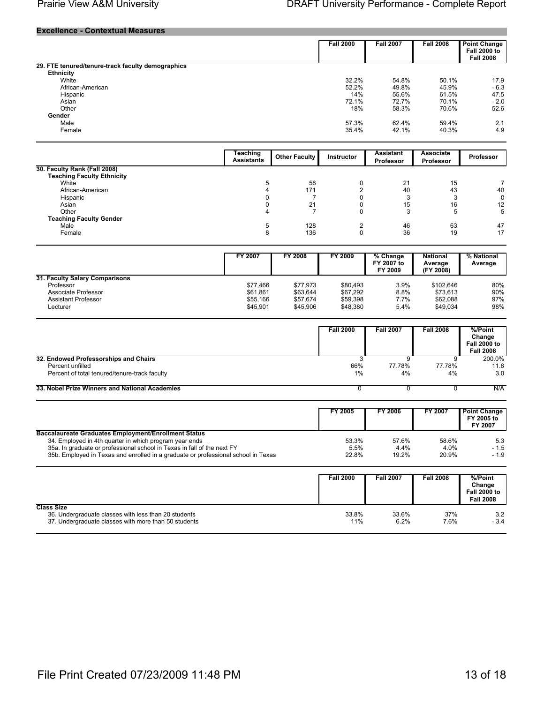#### **Prairie View A&M University**

#### **Excellence - Contextual Measures**

|                                                   | <b>Fall 2000</b> | <b>Fall 2007</b> | <b>Fall 2008</b> | <b>Point Change</b><br><b>Fall 2000 to</b><br><b>Fall 2008</b> |
|---------------------------------------------------|------------------|------------------|------------------|----------------------------------------------------------------|
| 29. FTE tenured/tenure-track faculty demographics |                  |                  |                  |                                                                |
| <b>Ethnicity</b>                                  |                  |                  |                  |                                                                |
| White                                             | 32.2%            | 54.8%            | 50.1%            | 17.9                                                           |
| African-American                                  | 52.2%            | 49.8%            | 45.9%            | $-6.3$                                                         |
| Hispanic                                          | 14%              | 55.6%            | 61.5%            | 47.5                                                           |
| Asian                                             | 72.1%            | 72.7%            | 70.1%            | $-2.0$                                                         |
| Other                                             | 18%              | 58.3%            | 70.6%            | 52.6                                                           |
| Gender                                            |                  |                  |                  |                                                                |
| Male                                              | 57.3%            | 62.4%            | 59.4%            | 2.1                                                            |
| Female                                            | 35.4%            | 42.1%            | 40.3%            | 4.9                                                            |
|                                                   |                  |                  |                  |                                                                |

|                                   | Teaching<br><b>Assistants</b> | <b>Other Faculty</b> | <b>Instructor</b> | <b>Assistant</b><br>Professor | <b>Associate</b><br><b>Professor</b> | <b>Professor</b> |
|-----------------------------------|-------------------------------|----------------------|-------------------|-------------------------------|--------------------------------------|------------------|
| 30. Faculty Rank (Fall 2008)      |                               |                      |                   |                               |                                      |                  |
| <b>Teaching Faculty Ethnicity</b> |                               |                      |                   |                               |                                      |                  |
| White                             |                               | 58                   |                   | 21                            | 15                                   |                  |
| African-American                  |                               | 171                  |                   | 40                            | 43                                   | 40               |
| Hispanic                          |                               |                      |                   |                               |                                      | 0                |
| Asian                             |                               | 21                   |                   | 15                            | 16                                   | 12               |
| Other                             |                               |                      |                   |                               |                                      | 5                |
| <b>Teaching Faculty Gender</b>    |                               |                      |                   |                               |                                      |                  |
| Male                              |                               | 128                  |                   | 46                            | 63                                   | 47               |
| <b>Female</b>                     |                               | 136                  |                   | 36                            | 19                                   | 17               |

|                                | FY 2007  | <b>FY 2008</b> | FY 2009  | % Change<br>FY 2007 to<br>FY 2009 | <b>National</b><br>Average<br>(FY 2008) | % National<br>Average |
|--------------------------------|----------|----------------|----------|-----------------------------------|-----------------------------------------|-----------------------|
| 31. Faculty Salary Comparisons |          |                |          |                                   |                                         |                       |
| Professor                      | \$77.466 | \$77.973       | \$80.493 | 3.9%                              | \$102.646                               | 80%                   |
| Associate Professor            | \$61.861 | \$63.644       | \$67.292 | 8.8%                              | \$73.613                                | 90%                   |
| Assistant Professor            | \$55.166 | \$57.674       | \$59.398 | 7.7%                              | \$62,088                                | 97%                   |
| Lecturer                       | \$45.901 | \$45,906       | \$48,380 | 5.4%                              | \$49.034                                | 98%                   |

|                                                | <b>Fall 2000</b> | <b>Fall 2007</b> | <b>Fall 2008</b> | %/Point<br>Change<br><b>Fall 2000 to</b><br><b>Fall 2008</b> |
|------------------------------------------------|------------------|------------------|------------------|--------------------------------------------------------------|
| 32. Endowed Professorships and Chairs          |                  |                  |                  | 200.0%                                                       |
| Percent unfilled                               | 66%              | 77.78%           | 77.78%           | 11.8                                                         |
| Percent of total tenured/tenure-track faculty  | 1%               | 4%               | 4%               | 3.0                                                          |
| 33. Nobel Prize Winners and National Academies |                  |                  |                  | N/A                                                          |

|                                                                                                                                                                                                                                                                                       | FY 2005                | <b>FY 2006</b>         | FY 2007                | <b>Point Change</b><br>FY 2005 to<br>FY 2007 |
|---------------------------------------------------------------------------------------------------------------------------------------------------------------------------------------------------------------------------------------------------------------------------------------|------------------------|------------------------|------------------------|----------------------------------------------|
| <b>Baccalaureate Graduates Employment/Enrollment Status</b><br>34. Employed in 4th quarter in which program year ends<br>35a. In graduate or professional school in Texas in fall of the next FY<br>35b. Employed in Texas and enrolled in a graduate or professional school in Texas | 53.3%<br>5.5%<br>22.8% | 57.6%<br>4.4%<br>19.2% | 58.6%<br>4.0%<br>20.9% | 5.3<br>$-1.5$<br>$-1.9$                      |

|                                                                                                                                   | <b>Fall 2000</b> | <b>Fall 2007</b> | <b>Fall 2008</b> | %/Point<br>Change<br><b>Fall 2000 to</b><br><b>Fall 2008</b> |
|-----------------------------------------------------------------------------------------------------------------------------------|------------------|------------------|------------------|--------------------------------------------------------------|
| <b>Class Size</b><br>36. Undergraduate classes with less than 20 students<br>37. Undergraduate classes with more than 50 students | 33.8%<br>11%     | 33.6%<br>6.2%    | 37%<br>7.6%      | 3.2<br>$-3.4$                                                |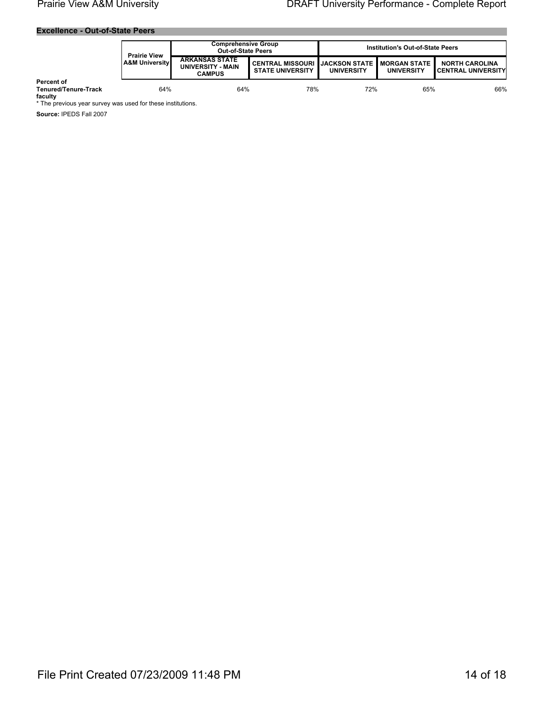#### **Excellence - Out-of-State Peers**

|                                               | <b>Prairie View</b> | <b>Comprehensive Group</b><br><b>Out-of-State Peers</b>     |                                                                           | <b>Institution's Out-of-State Peers</b> |                   |                                                       |
|-----------------------------------------------|---------------------|-------------------------------------------------------------|---------------------------------------------------------------------------|-----------------------------------------|-------------------|-------------------------------------------------------|
| l A&M Universitv∎                             |                     | <b>ARKANSAS STATE</b><br>UNIVERSITY - MAIN<br><b>CAMPUS</b> | CENTRAL MISSOURI IJACKSON STATE I MORGAN STATE<br><b>STATE UNIVERSITY</b> | <b>UNIVERSITY</b>                       | <b>UNIVERSITY</b> | <b>NORTH CAROLINA</b><br><b>I CENTRAL UNIVERSITYI</b> |
| Percent of<br>Tenured/Tenure-Track<br>foculty | 64%                 | 64%                                                         | 78%                                                                       | 72%                                     | 65%               | 66%                                                   |

faculty<br>\* The previous year survey was used for these institutions.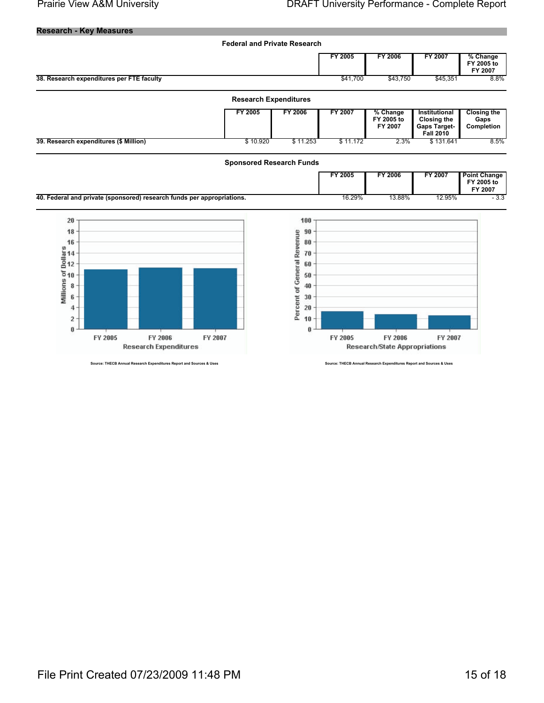**Research - Key Measures** 



urce: THECB Annual Research Expenditures Report and Sources & Uses

**Research Expenditures** 

Source: THECB Annual Research Expenditures Report and Sources & Uses

**Research/State Appropriations**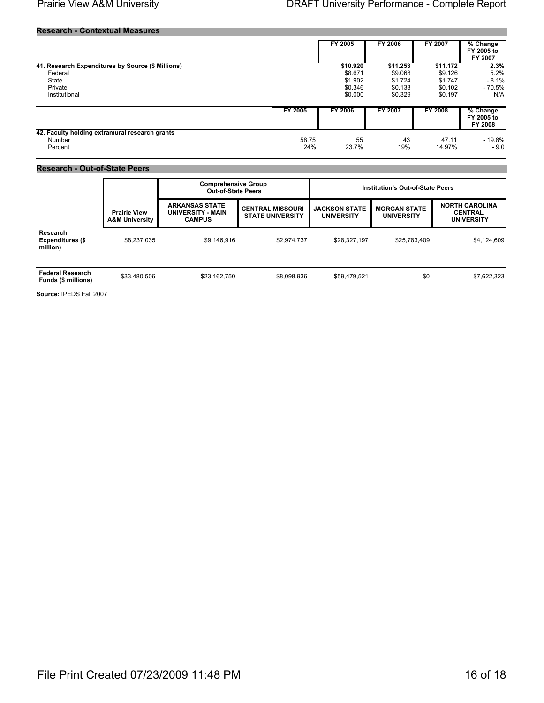#### **Research - Contextual Measures**

|                                                   |         | <b>FY 2005</b> | FY 2006  | <b>FY 2007</b> | % Change<br>FY 2005 to<br>FY 2007   |
|---------------------------------------------------|---------|----------------|----------|----------------|-------------------------------------|
| 41. Research Expenditures by Source (\$ Millions) |         | \$10.920       | \$11.253 | \$11.172       | 2.3%                                |
| Federal                                           |         | \$8.671        | \$9.068  | \$9.126        | 5.2%                                |
| State                                             |         | \$1.902        | \$1.724  | \$1.747        | $-8.1\%$                            |
| Private                                           |         | \$0.346        | \$0.133  | \$0.102        | - 70.5%                             |
| Institutional                                     |         | \$0.000        | \$0.329  | \$0.197        | N/A                                 |
|                                                   | FY 2005 | <b>FY 2006</b> | FY 2007  | <b>FY 2008</b> | $%$ Change<br>FY 2005 to<br>FY 2008 |
| 42. Faculty holding extramural research grants    |         |                |          |                |                                     |
| Number                                            | 58.75   | 55             | 43       | 47.11          | - 19.8%                             |
| Percent                                           | 24%     | 23.7%          | 19%      | 14.97%         | $-9.0$                              |

#### **Research - Out-of-State Peers**

|                                                 |                                                  | <b>Comprehensive Group</b><br><b>Out-of-State Peers</b>     |                                                    | <b>Institution's Out-of-State Peers</b>   |                                          |                                                              |  |
|-------------------------------------------------|--------------------------------------------------|-------------------------------------------------------------|----------------------------------------------------|-------------------------------------------|------------------------------------------|--------------------------------------------------------------|--|
|                                                 | <b>Prairie View</b><br><b>A&amp;M University</b> | <b>ARKANSAS STATE</b><br>UNIVERSITY - MAIN<br><b>CAMPUS</b> | <b>CENTRAL MISSOURI</b><br><b>STATE UNIVERSITY</b> | <b>JACKSON STATE</b><br><b>UNIVERSITY</b> | <b>MORGAN STATE</b><br><b>UNIVERSITY</b> | <b>NORTH CAROLINA</b><br><b>CENTRAL</b><br><b>UNIVERSITY</b> |  |
| Research<br><b>Expenditures (\$</b><br>million) | \$8,237,035                                      | \$9,146,916                                                 | \$2,974,737                                        | \$28.327.197                              | \$25,783,409                             | \$4,124,609                                                  |  |
| <b>Federal Research</b><br>Funds (\$ millions)  | \$33,480,506                                     | \$23.162.750                                                | \$8.098.936                                        | \$59.479.521                              | \$0                                      | \$7,622,323                                                  |  |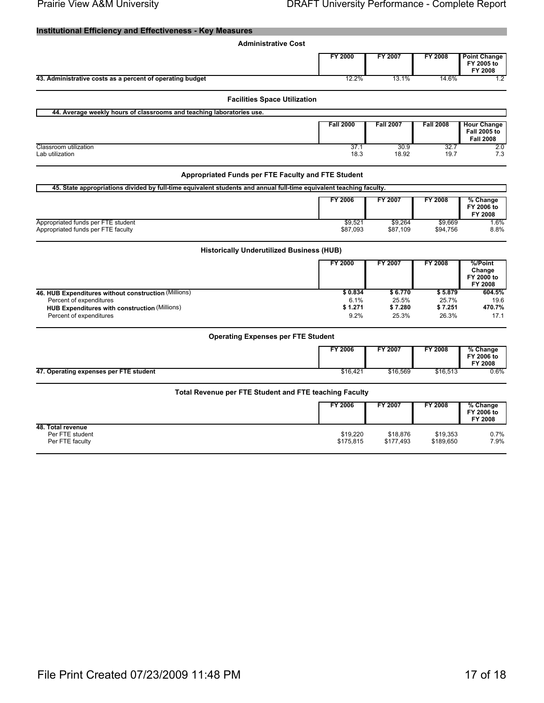| <b>Administrative Cost</b><br><b>FY 2000</b><br>FY 2007<br><b>FY 2008</b><br><b>Point Change</b><br>FY 2005 to<br>FY 2008<br>43. Administrative costs as a percent of operating budget<br>12.2%<br>13.1%<br>14.6%<br>1.2<br><b>Facilities Space Utilization</b><br>44. Average weekly hours of classrooms and teaching laboratories use.<br><b>Fall 2007</b><br><b>Fall 2000</b><br><b>Fall 2008</b><br><b>Hour Change</b><br><b>Fall 2005 to</b><br><b>Fall 2008</b><br>37.1<br>30.9<br>32.7<br>Classroom utilization<br>2.0<br>18.92<br>Lab utilization<br>18.3<br>19.7<br>7.3<br>Appropriated Funds per FTE Faculty and FTE Student<br>45. State appropriations divided by full-time equivalent students and annual full-time equivalent teaching faculty.<br><b>FY 2006</b><br>FY 2007<br><b>FY 2008</b><br>% Change<br>FY 2006 to<br>FY 2008<br>Appropriated funds per FTE student<br>\$9,521<br>\$9,264<br>\$9,669<br>1.6%<br>Appropriated funds per FTE faculty<br>\$87,093<br>8.8%<br>\$87,109<br>\$94,756<br><b>Historically Underutilized Business (HUB)</b><br>%/Point<br><b>FY 2000</b><br>FY 2007<br><b>FY 2008</b><br>Change<br>FY 2000 to<br>FY 2008<br>\$0.834<br>46. HUB Expenditures without construction (Millions)<br>\$6.770<br>\$5.879<br>604.5%<br>Percent of expenditures<br>6.1%<br>25.5%<br>25.7%<br>19.6<br>\$1.271<br>\$7.280<br>\$7.251<br><b>HUB Expenditures with construction (Millions)</b><br>470.7%<br>Percent of expenditures<br>9.2%<br>25.3%<br>26.3%<br>17.1<br><b>Operating Expenses per FTE Student</b><br><b>FY 2006</b><br>FY 2007<br><b>FY 2008</b><br>% Change<br>FY 2006 to<br>FY 2008<br>47. Operating expenses per FTE student<br>\$16,421<br>\$16,569<br>\$16,513<br>$0.6\%$<br>Total Revenue per FTE Student and FTE teaching Faculty<br><b>FY 2006</b><br><b>FY 2008</b><br>FY 2007<br>% Change<br>FY 2006 to<br>FY 2008<br>48. Total revenue<br>Per FTE student<br>\$19,220<br>\$19,353<br>0.7%<br>\$18,876<br>\$175,815<br>Per FTE faculty<br>\$177,493<br>\$189,650<br>7.9% | <b>Institutional Efficiency and Effectiveness - Key Measures</b> |  |  |
|-----------------------------------------------------------------------------------------------------------------------------------------------------------------------------------------------------------------------------------------------------------------------------------------------------------------------------------------------------------------------------------------------------------------------------------------------------------------------------------------------------------------------------------------------------------------------------------------------------------------------------------------------------------------------------------------------------------------------------------------------------------------------------------------------------------------------------------------------------------------------------------------------------------------------------------------------------------------------------------------------------------------------------------------------------------------------------------------------------------------------------------------------------------------------------------------------------------------------------------------------------------------------------------------------------------------------------------------------------------------------------------------------------------------------------------------------------------------------------------------------------------------------------------------------------------------------------------------------------------------------------------------------------------------------------------------------------------------------------------------------------------------------------------------------------------------------------------------------------------------------------------------------------------------------------------------------------------------------------------------------------------------------------------|------------------------------------------------------------------|--|--|
|                                                                                                                                                                                                                                                                                                                                                                                                                                                                                                                                                                                                                                                                                                                                                                                                                                                                                                                                                                                                                                                                                                                                                                                                                                                                                                                                                                                                                                                                                                                                                                                                                                                                                                                                                                                                                                                                                                                                                                                                                                   |                                                                  |  |  |
|                                                                                                                                                                                                                                                                                                                                                                                                                                                                                                                                                                                                                                                                                                                                                                                                                                                                                                                                                                                                                                                                                                                                                                                                                                                                                                                                                                                                                                                                                                                                                                                                                                                                                                                                                                                                                                                                                                                                                                                                                                   |                                                                  |  |  |
|                                                                                                                                                                                                                                                                                                                                                                                                                                                                                                                                                                                                                                                                                                                                                                                                                                                                                                                                                                                                                                                                                                                                                                                                                                                                                                                                                                                                                                                                                                                                                                                                                                                                                                                                                                                                                                                                                                                                                                                                                                   |                                                                  |  |  |
|                                                                                                                                                                                                                                                                                                                                                                                                                                                                                                                                                                                                                                                                                                                                                                                                                                                                                                                                                                                                                                                                                                                                                                                                                                                                                                                                                                                                                                                                                                                                                                                                                                                                                                                                                                                                                                                                                                                                                                                                                                   |                                                                  |  |  |
|                                                                                                                                                                                                                                                                                                                                                                                                                                                                                                                                                                                                                                                                                                                                                                                                                                                                                                                                                                                                                                                                                                                                                                                                                                                                                                                                                                                                                                                                                                                                                                                                                                                                                                                                                                                                                                                                                                                                                                                                                                   |                                                                  |  |  |
|                                                                                                                                                                                                                                                                                                                                                                                                                                                                                                                                                                                                                                                                                                                                                                                                                                                                                                                                                                                                                                                                                                                                                                                                                                                                                                                                                                                                                                                                                                                                                                                                                                                                                                                                                                                                                                                                                                                                                                                                                                   |                                                                  |  |  |
|                                                                                                                                                                                                                                                                                                                                                                                                                                                                                                                                                                                                                                                                                                                                                                                                                                                                                                                                                                                                                                                                                                                                                                                                                                                                                                                                                                                                                                                                                                                                                                                                                                                                                                                                                                                                                                                                                                                                                                                                                                   |                                                                  |  |  |
|                                                                                                                                                                                                                                                                                                                                                                                                                                                                                                                                                                                                                                                                                                                                                                                                                                                                                                                                                                                                                                                                                                                                                                                                                                                                                                                                                                                                                                                                                                                                                                                                                                                                                                                                                                                                                                                                                                                                                                                                                                   |                                                                  |  |  |
|                                                                                                                                                                                                                                                                                                                                                                                                                                                                                                                                                                                                                                                                                                                                                                                                                                                                                                                                                                                                                                                                                                                                                                                                                                                                                                                                                                                                                                                                                                                                                                                                                                                                                                                                                                                                                                                                                                                                                                                                                                   |                                                                  |  |  |
|                                                                                                                                                                                                                                                                                                                                                                                                                                                                                                                                                                                                                                                                                                                                                                                                                                                                                                                                                                                                                                                                                                                                                                                                                                                                                                                                                                                                                                                                                                                                                                                                                                                                                                                                                                                                                                                                                                                                                                                                                                   |                                                                  |  |  |
|                                                                                                                                                                                                                                                                                                                                                                                                                                                                                                                                                                                                                                                                                                                                                                                                                                                                                                                                                                                                                                                                                                                                                                                                                                                                                                                                                                                                                                                                                                                                                                                                                                                                                                                                                                                                                                                                                                                                                                                                                                   |                                                                  |  |  |
|                                                                                                                                                                                                                                                                                                                                                                                                                                                                                                                                                                                                                                                                                                                                                                                                                                                                                                                                                                                                                                                                                                                                                                                                                                                                                                                                                                                                                                                                                                                                                                                                                                                                                                                                                                                                                                                                                                                                                                                                                                   |                                                                  |  |  |
|                                                                                                                                                                                                                                                                                                                                                                                                                                                                                                                                                                                                                                                                                                                                                                                                                                                                                                                                                                                                                                                                                                                                                                                                                                                                                                                                                                                                                                                                                                                                                                                                                                                                                                                                                                                                                                                                                                                                                                                                                                   |                                                                  |  |  |
|                                                                                                                                                                                                                                                                                                                                                                                                                                                                                                                                                                                                                                                                                                                                                                                                                                                                                                                                                                                                                                                                                                                                                                                                                                                                                                                                                                                                                                                                                                                                                                                                                                                                                                                                                                                                                                                                                                                                                                                                                                   |                                                                  |  |  |
|                                                                                                                                                                                                                                                                                                                                                                                                                                                                                                                                                                                                                                                                                                                                                                                                                                                                                                                                                                                                                                                                                                                                                                                                                                                                                                                                                                                                                                                                                                                                                                                                                                                                                                                                                                                                                                                                                                                                                                                                                                   |                                                                  |  |  |
|                                                                                                                                                                                                                                                                                                                                                                                                                                                                                                                                                                                                                                                                                                                                                                                                                                                                                                                                                                                                                                                                                                                                                                                                                                                                                                                                                                                                                                                                                                                                                                                                                                                                                                                                                                                                                                                                                                                                                                                                                                   |                                                                  |  |  |
|                                                                                                                                                                                                                                                                                                                                                                                                                                                                                                                                                                                                                                                                                                                                                                                                                                                                                                                                                                                                                                                                                                                                                                                                                                                                                                                                                                                                                                                                                                                                                                                                                                                                                                                                                                                                                                                                                                                                                                                                                                   |                                                                  |  |  |
|                                                                                                                                                                                                                                                                                                                                                                                                                                                                                                                                                                                                                                                                                                                                                                                                                                                                                                                                                                                                                                                                                                                                                                                                                                                                                                                                                                                                                                                                                                                                                                                                                                                                                                                                                                                                                                                                                                                                                                                                                                   |                                                                  |  |  |
|                                                                                                                                                                                                                                                                                                                                                                                                                                                                                                                                                                                                                                                                                                                                                                                                                                                                                                                                                                                                                                                                                                                                                                                                                                                                                                                                                                                                                                                                                                                                                                                                                                                                                                                                                                                                                                                                                                                                                                                                                                   |                                                                  |  |  |
|                                                                                                                                                                                                                                                                                                                                                                                                                                                                                                                                                                                                                                                                                                                                                                                                                                                                                                                                                                                                                                                                                                                                                                                                                                                                                                                                                                                                                                                                                                                                                                                                                                                                                                                                                                                                                                                                                                                                                                                                                                   |                                                                  |  |  |
|                                                                                                                                                                                                                                                                                                                                                                                                                                                                                                                                                                                                                                                                                                                                                                                                                                                                                                                                                                                                                                                                                                                                                                                                                                                                                                                                                                                                                                                                                                                                                                                                                                                                                                                                                                                                                                                                                                                                                                                                                                   |                                                                  |  |  |
|                                                                                                                                                                                                                                                                                                                                                                                                                                                                                                                                                                                                                                                                                                                                                                                                                                                                                                                                                                                                                                                                                                                                                                                                                                                                                                                                                                                                                                                                                                                                                                                                                                                                                                                                                                                                                                                                                                                                                                                                                                   |                                                                  |  |  |